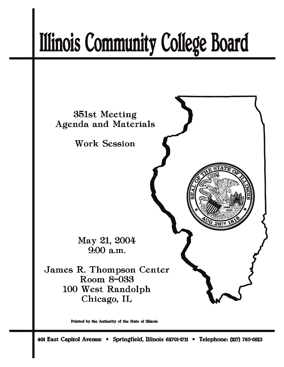# **Illinois Community College Board**



Printed by the Authority of the State of Illinois

401 East Capitol Avenue \* Springfield, Illinois 62701-1711 \* Telephone: (217) 785-0123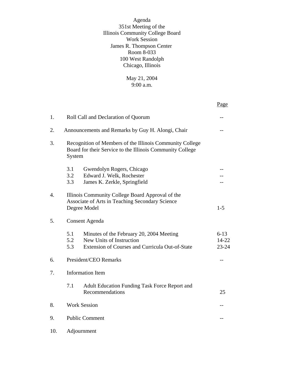Agenda 351st Meeting of the Illinois Community College Board Work Session James R. Thompson Center Room 8-033 100 West Randolph Chicago, Illinois

> May 21, 2004 9:00 a.m.

|     |                                                                                                                                              | Page                           |  |
|-----|----------------------------------------------------------------------------------------------------------------------------------------------|--------------------------------|--|
| 1.  | Roll Call and Declaration of Quorum                                                                                                          |                                |  |
| 2.  | Announcements and Remarks by Guy H. Alongi, Chair                                                                                            |                                |  |
| 3.  | Recognition of Members of the Illinois Community College<br>Board for their Service to the Illinois Community College<br>System              |                                |  |
|     | 3.1<br>Gwendolyn Rogers, Chicago<br>3.2<br>Edward J. Welk, Rochester<br>3.3<br>James K. Zerkle, Springfield                                  |                                |  |
| 4.  | Illinois Community College Board Approval of the<br>Associate of Arts in Teaching Secondary Science<br>Degree Model<br>$1 - 5$               |                                |  |
| 5.  | <b>Consent Agenda</b>                                                                                                                        |                                |  |
|     | 5.1<br>Minutes of the February 20, 2004 Meeting<br>5.2<br>New Units of Instruction<br>Extension of Courses and Curricula Out-of-State<br>5.3 | $6 - 13$<br>14-22<br>$23 - 24$ |  |
| 6.  | President/CEO Remarks                                                                                                                        |                                |  |
| 7.  | <b>Information Item</b>                                                                                                                      |                                |  |
|     | 7.1<br><b>Adult Education Funding Task Force Report and</b><br>Recommendations                                                               | 25                             |  |
| 8.  | <b>Work Session</b>                                                                                                                          |                                |  |
| 9.  | <b>Public Comment</b>                                                                                                                        |                                |  |
| 10. | Adjournment                                                                                                                                  |                                |  |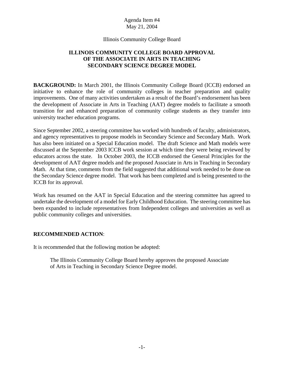#### Illinois Community College Board

# **ILLINOIS COMMUNITY COLLEGE BOARD APPROVAL OF THE ASSOCIATE IN ARTS IN TEACHING SECONDARY SCIENCE DEGREE MODEL**

**BACKGROUND:** In March 2001, the Illinois Community College Board (ICCB) endorsed an initiative to enhance the role of community colleges in teacher preparation and quality improvements. One of many activities undertaken as a result of the Board's endorsement has been the development of Associate in Arts in Teaching (AAT) degree models to facilitate a smooth transition for and enhanced preparation of community college students as they transfer into university teacher education programs.

Since September 2002, a steering committee has worked with hundreds of faculty, administrators, and agency representatives to propose models in Secondary Science and Secondary Math. Work has also been initiated on a Special Education model. The draft Science and Math models were discussed at the September 2003 ICCB work session at which time they were being reviewed by educators across the state. In October 2003, the ICCB endorsed the General Principles for the development of AAT degree models and the proposed Associate in Arts in Teaching in Secondary Math. At that time, comments from the field suggested that additional work needed to be done on the Secondary Science degree model. That work has been completed and is being presented to the ICCB for its approval.

Work has resumed on the AAT in Special Education and the steering committee has agreed to undertake the development of a model for Early Childhood Education. The steering committee has been expanded to include representatives from Independent colleges and universities as well as public community colleges and universities.

# **RECOMMENDED ACTION**:

It is recommended that the following motion be adopted:

The Illinois Community College Board hereby approves the proposed Associate of Arts in Teaching in Secondary Science Degree model.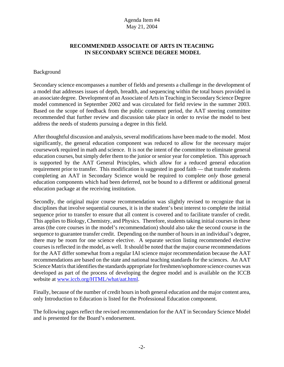# **RECOMMENDED ASSOCIATE OF ARTS IN TEACHING IN SECONDARY SCIENCE DEGREE MODEL**

#### Background

Secondary science encompasses a number of fields and presents a challenge in the development of a model that addresses issues of depth, breadth, and sequencing within the total hours provided in an associate degree. Development of an Associate of Arts in Teaching in Secondary Science Degree model commenced in September 2002 and was circulated for field review in the summer 2003. Based on the scope of feedback from the public comment period, the AAT steering committee recommended that further review and discussion take place in order to revise the model to best address the needs of students pursuing a degree in this field.

After thoughtful discussion and analysis, several modifications have been made to the model. Most significantly, the general education component was reduced to allow for the necessary major coursework required in math and science. It is not the intent of the committee to eliminate general education courses, but simply defer them to the junior or senior year for completion. This approach is supported by the AAT General Principles, which allow for a reduced general education requirement prior to transfer. This modification is suggested in good faith — that transfer students completing an AAT in Secondary Science would be required to complete *only* those general education components which had been deferred, not be bound to a different or additional general education package at the receiving institution.

Secondly, the original major course recommendation was slightly revised to recognize that in disciplines that involve sequential courses, it is in the student's best interest to complete the initial sequence prior to transfer to ensure that all content is covered and to facilitate transfer of credit. This applies to Biology, Chemistry, and Physics. Therefore, students taking initial courses in these areas (the core courses in the model's recommendation) should also take the second course in the sequence to guarantee transfer credit. Depending on the number of hours in an individual's degree, there may be room for one science elective. A separate section listing recommended elective courses is reflected in the model, as well. It should be noted that the major course recommendations for the AAT differ somewhat from a regular IAI science major recommendation because the AAT recommendations are based on the state and national teaching standards for the sciences. An AAT Science Matrix that identifies the standards appropriate for freshmen/sophomore science courses was developed as part of the process of developing the degree model and is available on the ICCB website at www.iccb.org/HTML/what/aat.html.

Finally, because of the number of credit hours in both general education and the major content area, only Introduction to Education is listed for the Professional Education component.

The following pages reflect the revised recommendation for the AAT in Secondary Science Model and is presented for the Board's endorsement.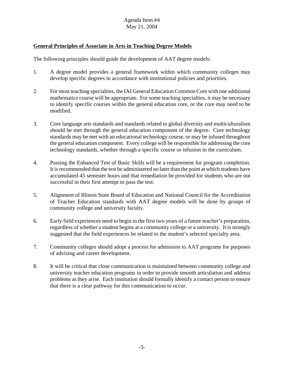# **General Principles of Associate in Arts in Teaching Degree Models**

The following principles should guide the development of AAT degree models:

- 1. A degree model provides a general framework within which community colleges may develop specific degrees in accordance with institutional policies and priorities.
- 2. For most teaching specialties, the IAI General Education Common Core with one additional mathematics course will be appropriate. For some teaching specialties, it may be necessary to identify specific courses within the general education core, or the core may need to be modified.
- 3. Core language arts standards and standards related to global diversity and multiculturalism should be met through the general education component of the degree. Core technology standards may be met with an educational technology course, or may be infused throughout the general education component. Every college will be responsible for addressing the core technology standards, whether through a specific course or infusion in the curriculum.
- 4. Passing the Enhanced Test of Basic Skills will be a requirement for program completion. It is recommended that the test be administered no later than the point at which students have accumulated 45 semester hours and that remediation be provided for students who are not successful in their first attempt to pass the test.
- 5. Alignment of Illinois State Board of Education and National Council for the Accreditation of Teacher Education standards with AAT degree models will be done by groups of community college and university faculty.
- 6. Early field experiences need to begin in the first two years of a future teacher's preparation, regardless of whether a student begins at a community college or a university. It is strongly suggested that the field experiences be related to the student's selected specialty area.
- 7. Community colleges should adopt a process for admission to AAT programs for purposes of advising and career development.
- 8. It will be critical that close communication is maintained between community college and university teacher education programs in order to provide smooth articulation and address problems as they arise. Each institution should formally identify a contact person to ensure that there is a clear pathway for this communication to occur.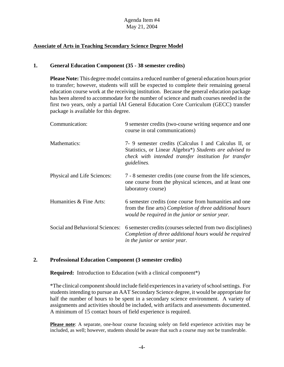# **Associate of Arts in Teaching Secondary Science Degree Model**

## **1. General Education Component (35 - 38 semester credits)**

**Please Note:** This degree model contains a reduced number of general education hours prior to transfer; however, students will still be expected to complete their remaining general education course work at the receiving institution. Because the general education package has been altered to accommodate for the number of science and math courses needed in the first two years, only a partial IAI General Education Core Curriculum (GECC) transfer package is available for this degree.

| Communication:                  | 9 semester credits (two-course writing sequence and one<br>course in oral communications)                                                                                                |
|---------------------------------|------------------------------------------------------------------------------------------------------------------------------------------------------------------------------------------|
| Mathematics:                    | 7- 9 semester credits (Calculus I and Calculus II, or<br>Statistics, or Linear Algebra*) Students are advised to<br>check with intended transfer institution for transfer<br>guidelines. |
| Physical and Life Sciences:     | 7 - 8 semester credits (one course from the life sciences,<br>one course from the physical sciences, and at least one<br>laboratory course)                                              |
| Humanities & Fine Arts:         | 6 semester credits (one course from humanities and one<br>from the fine arts) Completion of three additional hours<br>would be required in the junior or senior year.                    |
| Social and Behavioral Sciences: | 6 semester credits (courses selected from two disciplines)<br>Completion of three additional hours would be required<br>in the junior or senior year.                                    |

# **2. Professional Education Component (3 semester credits)**

**Required:** Introduction to Education (with a clinical component\*)

\*The clinical component should include field experiences in a variety of school settings. For students intending to pursue an AAT Secondary Science degree, it would be appropriate for half the number of hours to be spent in a secondary science environment. A variety of assignments and activities should be included, with artifacts and assessments documented. A minimum of 15 contact hours of field experience is required.

**Please note**: A separate, one-hour course focusing solely on field experience activities may be included, as well; however, students should be aware that such a course may not be transferable.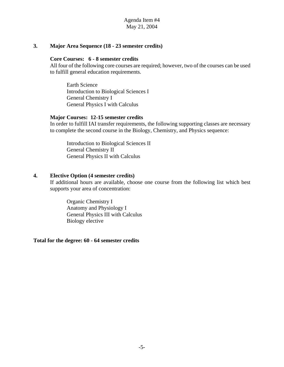#### **3. Major Area Sequence (18 - 23 semester credits)**

#### **Core Courses: 6 - 8 semester credits**

All four of the following core courses are required; however, two of the courses can be used to fulfill general education requirements.

Earth Science Introduction to Biological Sciences I General Chemistry I General Physics I with Calculus

#### **Major Courses: 12-15 semester credits**

In order to fulfill IAI transfer requirements, the following supporting classes are necessary to complete the second course in the Biology, Chemistry, and Physics sequence:

Introduction to Biological Sciences II General Chemistry II General Physics II with Calculus

#### **4. Elective Option (4 semester credits)**

If additional hours are available, choose one course from the following list which best supports your area of concentration:

Organic Chemistry I Anatomy and Physiology I General Physics III with Calculus Biology elective

**Total for the degree: 60 - 64 semester credits**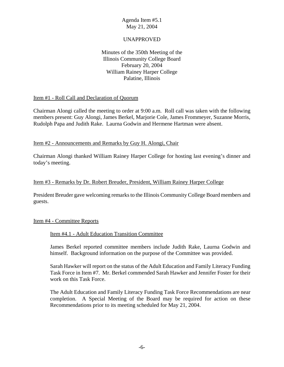# UNAPPROVED

# Minutes of the 350th Meeting of the Illinois Community College Board February 20, 2004 William Rainey Harper College Palatine, Illinois

## Item #1 - Roll Call and Declaration of Quorum

Chairman Alongi called the meeting to order at 9:00 a.m. Roll call was taken with the following members present: Guy Alongi, James Berkel, Marjorie Cole, James Frommeyer, Suzanne Morris, Rudolph Papa and Judith Rake. Laurna Godwin and Hermene Hartman were absent.

## Item #2 - Announcements and Remarks by Guy H. Alongi, Chair

Chairman Alongi thanked William Rainey Harper College for hosting last evening's dinner and today's meeting.

## Item #3 - Remarks by Dr. Robert Breuder, President, William Rainey Harper College

President Breuder gave welcoming remarks to the Illinois Community College Board members and guests.

#### Item #4 - Committee Reports

#### Item #4.1 - Adult Education Transition Committee

James Berkel reported committee members include Judith Rake, Laurna Godwin and himself. Background information on the purpose of the Committee was provided.

Sarah Hawker will report on the status of the Adult Education and Family Literacy Funding Task Force in Item #7. Mr. Berkel commended Sarah Hawker and Jennifer Foster for their work on this Task Force.

The Adult Education and Family Literacy Funding Task Force Recommendations are near completion. A Special Meeting of the Board may be required for action on these Recommendations prior to its meeting scheduled for May 21, 2004.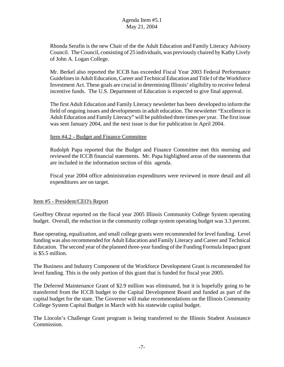Rhonda Serafin is the new Chair of the the Adult Education and Family Literacy Advisory Council. The Council, consisting of 25 individuals, was previously chaired by Kathy Lively of John A. Logan College.

Mr. Berkel also reported the ICCB has exceeded Fiscal Year 2003 Federal Performance Guidelines in Adult Education, Career and Technical Education and Title I of the Workforce Investment Act. These goals are crucial in determining Illinois' eligibility to receive federal incentive funds. The U.S. Department of Education is expected to give final approval.

The first Adult Education and Family Literacy newsletter has been developed to inform the field of ongoing issues and developments in adult education. The newsletter "Excellence in Adult Education and Family Literacy" will be published three times per year. The first issue was sent January 2004, and the next issue is due for publication in April 2004.

Item #4.2 - Budget and Finance Committee

Rudolph Papa reported that the Budget and Finance Committee met this morning and reviewed the ICCB financial statements. Mr. Papa highlighted areas of the statements that are included in the information section of this agenda.

Fiscal year 2004 office administration expenditures were reviewed in more detail and all expenditures are on target.

# Item #5 - President/CEO's Report

Geoffrey Obrzut reported on the fiscal year 2005 Illinois Community College System operating budget. Overall, the reduction in the community college system operating budget was 3.3 percent.

Base operating, equalization, and small college grants were recommended for level funding. Level funding was also recommended for Adult Education and Family Literacy and Career and Technical Education. The second year of the planned three-year funding of the Funding Formula Impact grant is \$5.5 million.

The Business and Industry Component of the Workforce Development Grant is recommended for level funding. This is the only portion of this grant that is funded for fiscal year 2005.

The Deferred Maintenance Grant of \$2.9 million was eliminated, but it is hopefully going to be transferred from the ICCB budget to the Capital Development Board and funded as part of the capital budget for the state. The Governor will make recommendations on the Illinois Community College System Capital Budget in March with his statewide capital budget.

The Lincoln's Challenge Grant program is being transferred to the Illinois Student Assistance Commission.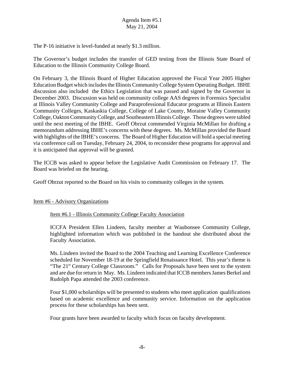The P-16 initiative is level-funded at nearly \$1.3 million.

The Governor's budget includes the transfer of GED testing from the Illinois State Board of Education to the Illinois Community College Board.

On February 3, the Illinois Board of Higher Education approved the Fiscal Year 2005 Higher Education Budget which includes the Illinois Community College System Operating Budget. IBHE discussion also included the Ethics Legislation that was passed and signed by the Governor in December 2003. Discussion was held on community college AAS degrees in Forensics Specialist at Illinois Valley Community College and Paraprofessional Educator programs at Illinois Eastern Community Colleges, Kaskaskia College, College of Lake County, Moraine Valley Community College, Oakton Community College, and Southeastern Illinois College. Those degrees were tabled until the next meeting of the IBHE. Geoff Obrzut commended Virginia McMillan for drafting a memorandum addressing IBHE's concerns with these degrees. Ms. McMillan provided the Board with highlights of the IBHE's concerns. The Board of Higher Education will hold a special meeting via conference call on Tuesday, February 24, 2004, to reconsider these programs for approval and it is anticipated that approval will be granted.

The ICCB was asked to appear before the Legislative Audit Commission on February 17. The Board was briefed on the hearing.

Geoff Obrzut reported to the Board on his visits to community colleges in the system.

#### Item #6 - Advisory Organizations

#### Item #6.1 - Illinois Community College Faculty Association

ICCFA President Ellen Lindeen, faculty member at Waubonsee Community College, highlighted information which was published in the handout she distributed about the Faculty Association.

Ms. Lindeen invited the Board to the 2004 Teaching and Learning Excellence Conference scheduled for November 18-19 at the Springfield Renaissance Hotel. This year's theme is "The 21<sup>st</sup> Century College Classroom." Calls for Proposals have been sent to the system and are due for return in May. Ms. Lindeen indicated that ICCB members James Berkel and Rudolph Papa attended the 2003 conference.

Four \$1,000 scholarships will be presented to students who meet application qualifications based on academic excellence and community service. Information on the application process for these scholarships has been sent.

Four grants have been awarded to faculty which focus on faculty development.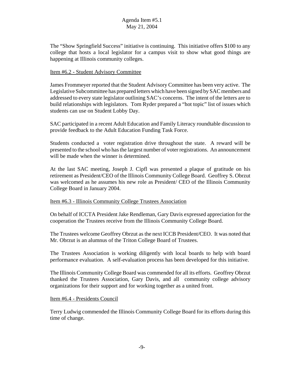The "Show Springfield Success" initiative is continuing. This initiative offers \$100 to any college that hosts a local legislator for a campus visit to show what good things are happening at Illinois community colleges.

## Item #6.2 - Student Advisory Committee

James Frommeyer reported that the Student Advisory Committee has been very active. The Legislative Subcommittee has prepared letters which have been signed by SAC members and addressed to every state legislator outlining SAC's concerns. The intent of the letters are to build relationships with legislators. Tom Ryder prepared a "hot topic" list of issues which students can use on Student Lobby Day.

SAC participated in a recent Adult Education and Family Literacy roundtable discussion to provide feedback to the Adult Education Funding Task Force.

Students conducted a voter registration drive throughout the state. A reward will be presented to the school who has the largest number of voter registrations. An announcement will be made when the winner is determined.

At the last SAC meeting, Joseph J. Cipfl was presented a plaque of gratitude on his retirement as President/CEO of the Illinois Community College Board. Geoffrey S. Obrzut was welcomed as he assumes his new role as President/ CEO of the Illinois Community College Board in January 2004.

#### Item #6.3 - Illinois Community College Trustees Association

On behalf of ICCTA President Jake Rendleman, Gary Davis expressed appreciation for the cooperation the Trustees receive from the Illinois Community College Board.

The Trustees welcome Geoffrey Obrzut as the next ICCB President/CEO. It was noted that Mr. Obrzut is an alumnus of the Triton College Board of Trustees.

The Trustees Association is working diligently with local boards to help with board performance evaluation. A self-evaluation process has been developed for this initiative.

The Illinois Community College Board was commended for all its efforts. Geoffrey Obrzut thanked the Trustees Association, Gary Davis, and all community college advisory organizations for their support and for working together as a united front.

#### Item #6.4 - Presidents Council

Terry Ludwig commended the Illinois Community College Board for its efforts during this time of change.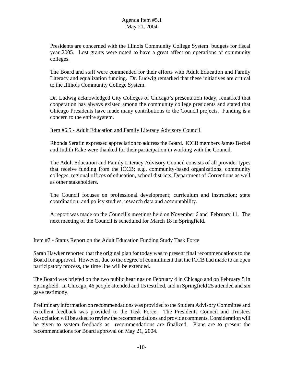Presidents are concerned with the Illinois Community College System budgets for fiscal year 2005. Lost grants were noted to have a great affect on operations of community colleges.

The Board and staff were commended for their efforts with Adult Education and Family Literacy and equalization funding. Dr. Ludwig remarked that these initiatives are critical to the Illinois Community College System.

Dr. Ludwig acknowledged City Colleges of Chicago's presentation today, remarked that cooperation has always existed among the community college presidents and stated that Chicago Presidents have made many contributions to the Council projects. Funding is a concern to the entire system.

## Item #6.5 - Adult Education and Family Literacy Advisory Council

Rhonda Serafin expressed appreciation to address the Board. ICCB members James Berkel and Judith Rake were thanked for their participation in working with the Council.

The Adult Education and Family Literacy Advisory Council consists of all provider types that receive funding from the ICCB; e.g., community-based organizations, community colleges, regional offices of education, school districts, Department of Corrections as well as other stakeholders.

The Council focuses on professional development; curriculum and instruction; state coordination; and policy studies, research data and accountability.

A report was made on the Council's meetings held on November 6 and February 11. The next meeting of the Council is scheduled for March 18 in Springfield.

# Item #7 - Status Report on the Adult Education Funding Study Task Force

Sarah Hawker reported that the original plan for today was to present final recommendations to the Board for approval. However, due to the degree of commitment that the ICCB had made to an open participatory process, the time line will be extended.

The Board was briefed on the two public hearings on February 4 in Chicago and on February 5 in Springfield. In Chicago, 46 people attended and 15 testified, and in Springfield 25 attended and six gave testimony.

Preliminary information on recommendations was provided to the Student Advisory Committee and excellent feedback was provided to the Task Force. The Presidents Council and Trustees Association will be asked to review the recommendations and provide comments. Consideration will be given to system feedback as recommendations are finalized. Plans are to present the recommendations for Board approval on May 21, 2004.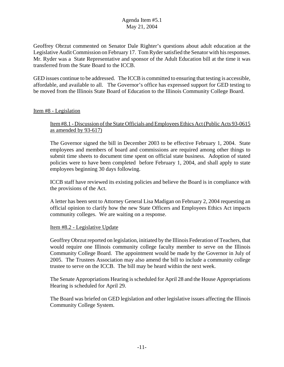Geoffrey Obrzut commented on Senator Dale Righter's questions about adult education at the Legislative Audit Commission on February 17. Tom Ryder satisfied the Senator with his responses. Mr. Ryder was a State Representative and sponsor of the Adult Education bill at the time it was transferred from the State Board to the ICCB.

GED issues continue to be addressed. The ICCB is committed to ensuring that testing is accessible, affordable, and available to all. The Governor's office has expressed support for GED testing to be moved from the Illinois State Board of Education to the Illinois Community College Board.

## Item #8 - Legislation

# Item #8.1 - Discussion of the State Officials and Employees Ethics Act (Public Acts 93-0615 as amended by 93-617)

The Governor signed the bill in December 2003 to be effective February 1, 2004. State employees and members of board and commissions are required among other things to submit time sheets to document time spent on official state business. Adoption of stated policies were to have been completed before February 1, 2004, and shall apply to state employees beginning 30 days following.

ICCB staff have reviewed its existing policies and believe the Board is in compliance with the provisions of the Act.

A letter has been sent to Attorney General Lisa Madigan on February 2, 2004 requesting an official opinion to clarify how the new State Officers and Employees Ethics Act impacts community colleges. We are waiting on a response.

#### Item #8.2 - Legislative Update

Geoffrey Obrzut reported on legislation, initiated by the Illinois Federation of Teachers, that would require one Illinois community college faculty member to serve on the Illinois Community College Board. The appointment would be made by the Governor in July of 2005. The Trustees Association may also amend the bill to include a community college trustee to serve on the ICCB. The bill may be heard within the next week.

The Senate Appropriations Hearing is scheduled for April 28 and the House Appropriations Hearing is scheduled for April 29.

The Board was briefed on GED legislation and other legislative issues affecting the Illinois Community College System.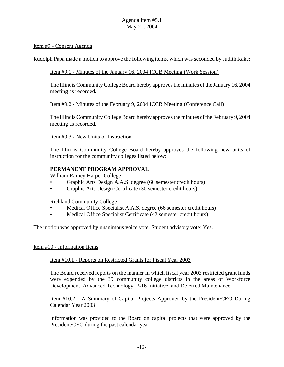#### Item #9 - Consent Agenda

Rudolph Papa made a motion to approve the following items, which was seconded by Judith Rake:

#### Item #9.1 - Minutes of the January 16, 2004 ICCB Meeting (Work Session)

The Illinois Community College Board hereby approves the minutes of the January 16, 2004 meeting as recorded.

#### Item #9.2 - Minutes of the February 9, 2004 ICCB Meeting (Conference Call)

The Illinois Community College Board hereby approves the minutes of the February 9, 2004 meeting as recorded.

Item #9.3 - New Units of Instruction

The Illinois Community College Board hereby approves the following new units of instruction for the community colleges listed below:

## **PERMANENT PROGRAM APPROVAL**

William Rainey Harper College

- Graphic Arts Design A.A.S. degree (60 semester credit hours)
- Graphic Arts Design Certificate (30 semester credit hours)

Richland Community College

- Medical Office Specialist A.A.S. degree (66 semester credit hours)
- Medical Office Specialist Certificate (42 semester credit hours)

The motion was approved by unanimous voice vote. Student advisory vote: Yes.

#### Item #10 - Information Items

#### Item #10.1 - Reports on Restricted Grants for Fiscal Year 2003

The Board received reports on the manner in which fiscal year 2003 restricted grant funds were expended by the 39 community college districts in the areas of Workforce Development, Advanced Technology, P-16 Initiative, and Deferred Maintenance.

## Item #10.2 - A Summary of Capital Projects Approved by the President/CEO During Calendar Year 2003

Information was provided to the Board on capital projects that were approved by the President/CEO during the past calendar year.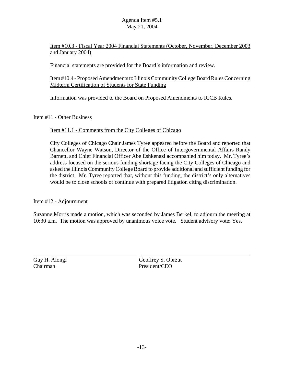Item #10.3 - Fiscal Year 2004 Financial Statements (October, November, December 2003 and January 2004)

Financial statements are provided for the Board's information and review.

## Item #10.4 - Proposed Amendments to Illinois Community College Board Rules Concerning Midterm Certification of Students for State Funding

Information was provided to the Board on Proposed Amendments to ICCB Rules.

Item #11 - Other Business

# Item #11.1 - Comments from the City Colleges of Chicago

City Colleges of Chicago Chair James Tyree appeared before the Board and reported that Chancellor Wayne Watson, Director of the Office of Intergovernmental Affairs Randy Barnett, and Chief Financial Officer Abe Eshkenazi accompanied him today. Mr. Tyree's address focused on the serious funding shortage facing the City Colleges of Chicago and asked the Illinois Community College Board to provide additional and sufficient funding for the district. Mr. Tyree reported that, without this funding, the district's only alternatives would be to close schools or continue with prepared litigation citing discrimination.

# Item #12 - Adjournment

Suzanne Morris made a motion, which was seconded by James Berkel, to adjourn the meeting at 10:30 a.m. The motion was approved by unanimous voice vote. Student advisory vote: Yes.

 $\overline{a}$ 

Guy H. Alongi Geoffrey S. Obrzut Chairman President/CEO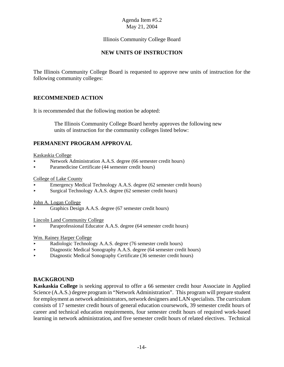# Illinois Community College Board

# **NEW UNITS OF INSTRUCTION**

The Illinois Community College Board is requested to approve new units of instruction for the following community colleges:

# **RECOMMENDED ACTION**

It is recommended that the following motion be adopted:

 The Illinois Community College Board hereby approves the following new units of instruction for the community colleges listed below:

# **PERMANENT PROGRAM APPROVAL**

Kaskaskia College

- < Network Administration A.A.S. degree (66 semester credit hours)
- Paramedicine Certificate (44 semester credit hours)

College of Lake County

- < Emergency Medical Technology A.A.S. degree (62 semester credit hours)
- < Surgical Technology A.A.S. degree (62 semester credit hours)

John A. Logan College

< Graphics Design A.A.S. degree (67 semester credit hours)

Lincoln Land Community College

Paraprofessional Educator A.A.S. degree (64 semester credit hours)

Wm. Rainey Harper College

- Radiologic Technology A.A.S. degree (76 semester credit hours)
- < Diagnostic Medical Sonography A.A.S. degree (64 semester credit hours)
- < Diagnostic Medical Sonography Certificate (36 semester credit hours)

# **BACKGROUND**

**Kaskaskia College** is seeking approval to offer a 66 semester credit hour Associate in Applied Science (A.A.S.) degree program in "Network Administration". This program will prepare student for employment as network administrators, network designers and LAN specialists. The curriculum consists of 17 semester credit hours of general education coursework, 39 semester credit hours of career and technical education requirements, four semester credit hours of required work-based learning in network administration, and five semester credit hours of related electives. Technical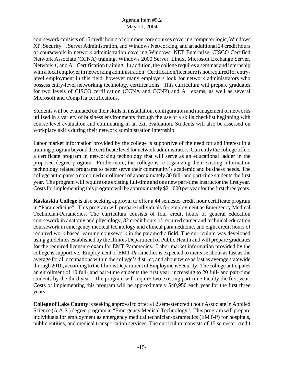coursework consists of 15 credit hours of common core courses covering computer logic, Windows XP, Security +, Server Administration, and Windows Networking, and an additional 24 credit hours of coursework in network administration covering Windows .NET Enterprise, CISCO Certified Network Associate (CCNA) training, Windows 2000 Server, Linux, Microsoft Exchange Server, Network +, and A+ Certification training. In addition, the college requires a seminar and internship with a local employer in networking administration. Certification/licensure is not required for entrylevel employment in this field, however many employers look for network administrators who possess entry-level networking technology certifications. This curriculum will prepare graduates for two levels of CISCO certification (CCNA and CCNP) and A+ exams, as well as several Microsoft and CompTia certifications.

Students will be evaluated on their skills in installation, configuration and management of networks utilized in a variety of business environments through the use of a skills checklist beginning with course level evaluation and culminating in an exit evaluation. Students will also be assessed on workplace skills during their network administration internship.

Labor market information provided by the college is supportive of the need for and interest in a training program beyond the certificate level for network administrators. Currently the college offers a certificate program in networking technology that will serve as an educational ladder in the proposed degree program. Furthermore, the college is re-organizing their existing information technology related programs to better serve their community's academic and business needs. The college anticipates a combined enrollment of approximately 30 full- and part-time students the first year. The program will require one existing full-time and one new part-time instructor the first year. Costs for implementing this program will be approximately \$21,000 per year for the first three years.

**Kaskaskia College** is also seeking approval to offer a 44 semester credit hour certificate program in "Paramedicine". This program will prepare individuals for employment as Emergency Medical Technician-Paramedics. The curriculum consists of four credit hours of general education coursework in anatomy and physiology, 32 credit hours of required career and technical education coursework in emergency medical technology and clinical paramedicine, and eight credit hours of required work-based learning coursework in the paramedic field. The curriculum was developed using guidelines established by the Illinois Department of Public Health and will prepare graduates for the required licensure exam for EMT-Paramedics. Labor market information provided by the college is supportive. Employment of EMT-Paramedics is expected to increase about as fast as the average for all occupations within the college's district, and about twice as fast as average statewide through 2010, according to the Illinois Department of Employment Security. The college anticipates an enrollment of 10 full- and part-time students the first year, increasing to 20 full- and part-time students by the third year. The program will require two existing part-time faculty the first year. Costs of implementing this program will be approximately \$40,950 each year for the first three years.

**College of Lake County** is seeking approval to offer a 62 semester credit hour Associate in Applied Science (A.A.S.) degree program in "Emergency Medical Technology". This program will prepare individuals for employment as emergency medical technician-paramedics (EMT-P) for hospitals, public entities, and medical transportation services. The curriculum consists of 15 semester credit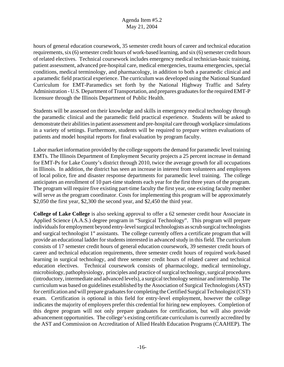hours of general education coursework, 35 semester credit hours of career and technical education requirements, six (6) semester credit hours of work-based learning, and six (6) semester credit hours of related electives. Technical coursework includes emergency medical technician-basic training, patient assessment, advanced pre-hospital care, medical emergencies, trauma emergencies, special conditions, medical terminology, and pharmacology, in addition to both a paramedic clinical and a paramedic field practical experience. The curriculum was developed using the National Standard Curriculum for EMT-Paramedics set forth by the National Highway Traffic and Safety Administration - U.S. Department of Transportation, and prepares graduates for the required EMT-P licensure through the Illinois Department of Public Health.

Students will be assessed on their knowledge and skills in emergency medical technology through the paramedic clinical and the paramedic field practical experience. Students will be asked to demonstrate their abilities in patient assessment and pre-hospital care through workplace simulations in a variety of settings. Furthermore, students will be required to prepare written evaluations of patients and model hospital reports for final evaluation by program faculty.

Labor market information provided by the college supports the demand for paramedic level training EMTs. The Illinois Department of Employment Security projects a 25 percent increase in demand for EMT-Ps for Lake County's district through 2010, twice the average growth for all occupations in Illinois. In addition, the district has seen an increase in interest from volunteers and employees of local police, fire and disaster response departments for paramedic level training. The college anticipates an enrollment of 10 part-time students each year for the first three years of the program. The program will require five existing part-time faculty the first year, one existing faculty member will serve as the program coordinator. Costs for implementing this program will be approximately \$2,050 the first year, \$2,300 the second year, and \$2,450 the third year.

**College of Lake College** is also seeking approval to offer a 62 semester credit hour Associate in Applied Science (A.A.S.) degree program in "Surgical Technology". This program will prepare individuals for employment beyond entry-level surgical technologists as scrub surgical technologists and surgical technologist  $1<sup>st</sup>$  assistants. The college currently offers a certificate program that will provide an educational ladder for students interested in advanced study in this field. The curriculum consists of 17 semester credit hours of general education coursework, 39 semester credit hours of career and technical education requirements, three semester credit hours of required work-based learning in surgical technology, and three semester credit hours of related career and technical education electives. Technical coursework consists of pharmacology, medical terminology, microbiology, pathophysiology, principles and practice of surgical technology, surgical procedures (introductory, intermediate and advanced levels), a surgical technology seminar and internship. The curriculum was based on guidelines established by the Association of Surgical Technologists (AST) for certification and will prepare graduates for completing the Certified Surgical Technologist (CST) exam. Certification is optional in this field for entry-level employment, however the college indicates the majority of employers prefer this credential for hiring new employees. Completion of this degree program will not only prepare graduates for certification, but will also provide advancement opportunities. The college's existing certificate curriculum is currently accredited by the AST and Commission on Accreditation of Allied Health Education Programs (CAAHEP). The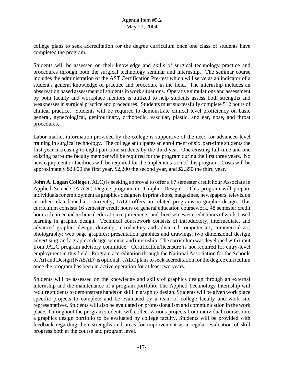college plans to seek accreditation for the degree curriculum once one class of students have completed the program.

Students will be assessed on their knowledge and skills of surgical technology practice and procedures through both the surgical technology seminar and internship. The seminar course includes the administration of the AST Certification Pre-test which will serve as an indicator of a student's general knowledge of practice and procedure in the field. The internship includes an observation based assessment of students in work situations. Operative simulations and assessment by both faculty and workplace mentors is utilized to help students assess both strengths and weaknesses in surgical practice and procedures. Students must successfully complete 512 hours of clinical practice. Students will be required to demonstrate clinical level proficiency on basic general, gynecological, genitourinary, orthopedic, vascular, plastic, and ear, nose, and throat procedures.

Labor market information provided by the college is supportive of the need for advanced-level training in surgical technology. The college anticipates an enrollment of six part-time students the first year increasing to eight part-time students by the third year. One existing full-time and one existing part-time faculty member will be required for the program during the first three years. No new equipment or facilities will be required for the implementation of this program. Costs will be approximately \$2,000 the first year, \$2,200 the second year, and \$2,350 the third year.

**John A. Logan College** (JALC) is seeking approval to offer a 67 semester credit hour Associate in Applied Science (A.A.S.) Degree program in "Graphic Design". This program will prepare individuals for employment as graphics designers in print shops, magazines, newspapers, television or other related media. Currently, JALC offers no related programs in graphic design. This curriculum consists 16 semester credit hours of general education coursework, 48 semester credit hours of career and technical education requirements, and three semester credit hours of work-based learning in graphic design. Technical coursework consists of introductory, intermediate, and advanced graphics design; drawing; introductory and advanced computer art; commercial art; photography; web page graphics; presentation graphics and drawings; two dimensional design; advertising; and a graphics design seminar and internship. The curriculum was developed with input from JALC program advisory committee. Certification/licensure is not required for entry-level employment in this field. Program accreditation through the National Association for the Schools of Art and Design (NASAD) is optional. JALC plans to seek accreditation for the degree curriculum once the program has been in active operation for at least two years.

Students will be assessed on the knowledge and skills of graphics design through an external internship and the maintenance of a program portfolio. The Applied Technology Internship will require students to demonstrate hands on skill in graphics design. Students will be given work place specific projects to complete and be evaluated by a team of college faculty and work site representatives. Students will also be evaluated on professionalism and communication in the work place. Throughout the program students will collect various projects from individual courses into a graphics design portfolio to be evaluated by college faculty. Students will be provided with feedback regarding their strengths and areas for improvement as a regular evaluation of skill progress both at the course and program level.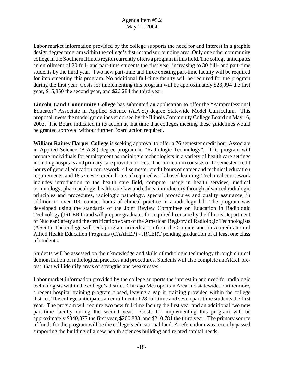Labor market information provided by the college supports the need for and interest in a graphic design degree program within the college's district and surrounding area. Only one other community college in the Southern Illinois region currently offers a program in this field. The college anticipates an enrollment of 20 full- and part-time students the first year, increasing to 30 full- and part-time students by the third year. Two new part-time and three existing part-time faculty will be required for implementing this program. No additional full-time faculty will be required for the program during the first year. Costs for implementing this program will be approximately \$23,994 the first year, \$15,850 the second year, and \$26,284 the third year.

**Lincoln Land Community College** has submitted an application to offer the "Paraprofessional Educator" Associate in Applied Science (A.A.S.) degree Statewide Model Curriculum. This proposal meets the model guidelines endorsed by the Illinois Community College Board on May 16, 2003. The Board indicated in its action at that time that colleges meeting these guidelines would be granted approval without further Board action required.

**William Rainey Harper College** is seeking approval to offer a 76 semester credit hour Associate in Applied Science (A.A.S.) degree program in "Radiologic Technology". This program will prepare individuals for employment as radiologic technologists in a variety of health care settings including hospitals and primary care provider offices. The curriculum consists of 17 semester credit hours of general education coursework, 41 semester credit hours of career and technical education requirements, and 18 semester credit hours of required work-based learning. Technical coursework includes introduction to the health care field, computer usage in health services, medical terminology, pharmacology, health care law and ethics, introductory through advanced radiologic principles and procedures, radiologic pathology, special procedures and quality assurance, in addition to over 100 contact hours of clinical practice in a radiology lab. The program was developed using the standards of the Joint Review Committee on Education in Radiologic Technology (JRCERT) and will prepare graduates for required licensure by the Illinois Department of Nuclear Safety and the certification exam of the American Registry of Radiologic Technologists (ARRT). The college will seek program accreditation from the Commission on Accreditation of Allied Health Education Programs (CAAHEP) - JRCERT pending graduation of at least one class of students.

Students will be assessed on their knowledge and skills of radiologic technology through clinical demonstration of radiological practices and procedures. Students will also complete an ARRT pretest that will identify areas of strengths and weaknesses.

Labor market information provided by the college supports the interest in and need for radiologic technologists within the college's district, Chicago Metropolitan Area and statewide. Furthermore, a recent hospital training program closed, leaving a gap in training provided within the college district. The college anticipates an enrollment of 28 full-time and seven part-time students the first year. The program will require two new full-time faculty the first year and an additional two new part-time faculty during the second year. Costs for implementing this program will be approximately \$340,377 the first year, \$200,883, and \$210,781 the third year. The primary source of funds for the program will be the college's educational fund. A referendum was recently passed supporting the building of a new health sciences building and related capital needs.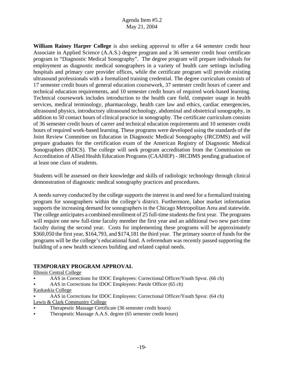**William Rainey Harper College** is also seeking approval to offer a 64 semester credit hour Associate in Applied Science (A.A.S.) degree program and a 36 semester credit hour certificate program in "Diagnostic Medical Sonography". The degree program will prepare individuals for employment as diagnostic medical sonographers in a variety of health care settings including hospitals and primary care provider offices, while the certificate program will provide existing ultrasound professionals with a formalized training credential. The degree curriculum consists of 17 semester credit hours of general education coursework, 37 semester credit hours of career and technical education requirements, and 10 semester credit hours of required work-based learning. Technical coursework includes introduction to the health care field, computer usage in health services, medical terminology, pharmacology, health care law and ethics, cardiac emergencies, ultrasound physics, introductory ultrasound technology, abdominal and obstetrical sonography, in addition to 50 contact hours of clinical practice in sonography. The certificate curriculum consists of 36 semester credit hours of career and technical education requirements and 10 semester credit hours of required work-based learning. These programs were developed using the standards of the Joint Review Committee on Education in Diagnostic Medical Sonography (JRCDMS) and will prepare graduates for the certification exam of the American Registry of Diagnostic Medical Sonographers (RDCS). The college will seek program accreditation from the Commission on Accreditation of Allied Health Education Programs (CAAHEP) - JRCDMS pending graduation of at least one class of students.

Students will be assessed on their knowledge and skills of radiologic technology through clinical demonstration of diagnostic medical sonography practices and procedures.

A needs survey conducted by the college supports the interest in and need for a formalized training program for sonographers within the college's district. Furthermore, labor market information supports the increasing demand for sonographers in the Chicago Metropolitan Area and statewide. The college anticipates a combined enrollment of 25 full-time students the first year. The programs will require one new full-time faculty member the first year and an additional two new part-time faculty during the second year. Costs for implementing these programs will be approximately \$360,050 the first year, \$164,793, and \$174,181 the third year. The primary source of funds for the programs will be the college's educational fund. A referendum was recently passed supporting the building of a new health sciences building and related capital needs.

# **TEMPORARY PROGRAM APPROVAL**

Illinois Central College

- AAS in Corrections for IDOC Employees: Correctional Officer/Youth Spvsr. (66 ch)
- AAS in Corrections for IDOC Employees: Parole Officer (65 ch)
- Kaskaskia College
- AAS in Corrections for IDOC Employees: Correctional Officer/Youth Spvsr. (64 ch) Lewis & Clark Community College
- < Therapeutic Massage Certificate (36 semester credit hours)
- < Therapeutic Massage A.A.S. degree (65 semester credit hours)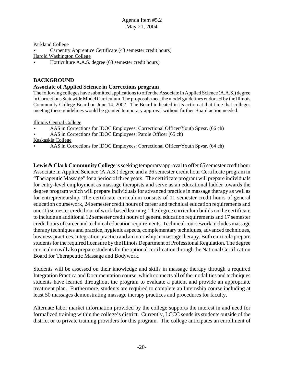#### Parkland College

< Carpentry Apprentice Certificate (43 semester credit hours)

Harold Washington College

< Horticulture A.A.S. degree (63 semester credit hours)

# **BACKGROUND**

## **Associate of Applied Science in Corrections program**

The following colleges have submitted applications to offer the Associate in Applied Science (A.A.S.) degree in Corrections Statewide Model Curriculum. The proposals meet the model guidelines endorsed by the Illinois Community College Board on June 14, 2002. The Board indicated in its action at that time that colleges meeting these guidelines would be granted temporary approval without further Board action needed.

Illinois Central College

- AAS in Corrections for IDOC Employees: Correctional Officer/Youth Spysr. (66 ch)
- AAS in Corrections for IDOC Employees: Parole Officer (65 ch)

Kaskaskia College

AAS in Corrections for IDOC Employees: Correctional Officer/Youth Spvsr. (64 ch)

Lewis & Clark Community College is seeking temporary approval to offer 65 semester credit hour Associate in Applied Science (A.A.S.) degree and a 36 semester credit hour Certificate program in "Therapeutic Massage" for a period of three years. The certificate program will prepare individuals for entry-level employment as massage therapists and serve as an educational ladder towards the degree program which will prepare individuals for advanced practice in massage therapy as well as for entrepreneurship. The certificate curriculum consists of 11 semester credit hours of general education coursework, 24 semester credit hours of career and technical education requirements and one (1) semester credit hour of work-based learning. The degree curriculum builds on the certificate to include an additional 12 semester credit hours of general education requirements and 17 semester credit hours of career and technical education requirements. Technical coursework includes massage therapy techniques and practice, hygienic aspects, complementary techniques, advanced techniques, business practices, integration practica and an internship in massage therapy. Both curricula prepare students for the required licensure by the Illinois Department of Professional Regulation. The degree curriculum will also prepare students for the optional certification through the National Certification Board for Therapeutic Massage and Bodywork.

Students will be assessed on their knowledge and skills in massage therapy through a required Integration Practica and Documentation course, which connects all of the modalities and techniques students have learned throughout the program to evaluate a patient and provide an appropriate treatment plan. Furthermore, students are required to complete an Internship course including at least 50 massages demonstrating massage therapy practices and procedures for faculty.

Alternate labor market information provided by the college supports the interest in and need for formalized training within the college's district. Currently, LCCC sends its students outside of the district or to private training providers for this program. The college anticipates an enrollment of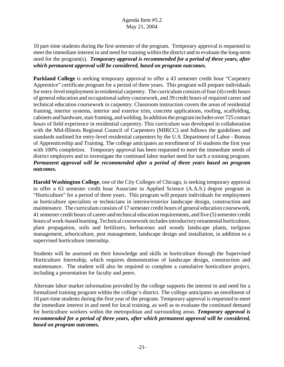10 part-time students during the first semester of the program. Temporary approval is requested to meet the immediate interest in and need for training within the district and to evaluate the long-term need for the program(s). *Temporary approval is recommended for a period of three years, after which permanent approval will be considered, based on program outcomes.*

**Parkland College** is seeking temporary approval to offer a 43 semester credit hour "Carpentry" Apprentice" certificate program for a period of three years. This program will prepare individuals for entry-level employment in residential carpentry. The curriculum consists of four (4) credit hours of general education and occupational safety coursework, and 39 credit hours of required career and technical education coursework in carpentry. Classroom instruction covers the areas of residential framing, interior systems, interior and exterior trim, concrete applications, roofing, scaffolding, cabinets and hardware, stair framing, and welding. In addition the program includes over 725 contact hours of field experience in residential carpentry. This curriculum was developed in collaboration with the Mid-Illinois Regional Council of Carpenters (MIRCC) and follows the guidelines and standards outlined for entry-level residential carpenters by the U.S. Department of Labor - Bureau of Apprenticeship and Training. The college anticipates an enrollment of 16 students the first year with 100% completion. Temporary approval has been requested to meet the immediate needs of district employers and to investigate the continued labor market need for such a training program. *Permanent approval will be recommended after a period of three years based on program outcomes.* 

**Harold Washington College**, one of the City Colleges of Chicago, is seeking temporary approval to offer a 63 semester credit hour Associate in Applied Science (A.A.S.) degree program in "Horticulture" for a period of three years. This program will prepare individuals for employment as horticulture specialists or technicians in interior/exterior landscape design, construction and maintenance. The curriculum consists of 17 semester credit hours of general education coursework, 41 semester credit hours of career and technical education requirements, and five (5) semester credit hours of work-based learning. Technical coursework includes introductory ornamental horticulture, plant propagation, soils and fertilizers, herbaceous and woody landscape plants, turfgrass management, arboriculture, pest management, landscape design and installation, in addition to a supervised horticulture internship.

Students will be assessed on their knowledge and skills in horticulture through the Supervised Horticulture Internship, which requires demonstration of landscape design, construction and maintenance. The student will also be required to complete a cumulative horticulture project, including a presentation for faculty and peers.

Alternate labor market information provided by the college supports the interest in and need for a formalized training program within the college's district. The college anticipates an enrollment of 18 part-time students during the first year of the program. Temporary approval is requested to meet the immediate interest in and need for local training, as well as to evaluate the continued demand for horticulture workers within the metropolitan and surrounding areas. *Temporary approval is recommended for a period of three years, after which permanent approval will be considered, based on program outcomes.*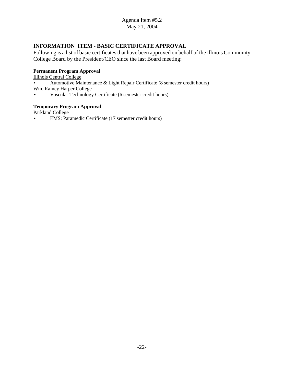# **INFORMATION ITEM - BASIC CERTIFICATE APPROVAL**

Following is a list of basic certificates that have been approved on behalf of the Illinois Community College Board by the President/CEO since the last Board meeting:

#### **Permanent Program Approval**

Illinois Central College

Automotive Maintenance  $\&$  Light Repair Certificate (8 semester credit hours)

Wm. Rainey Harper College

< Vascular Technology Certificate (6 semester credit hours)

#### **Temporary Program Approval**

Parkland College

< EMS: Paramedic Certificate (17 semester credit hours)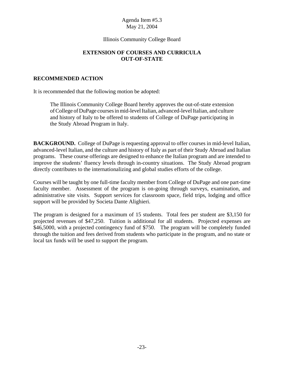## Illinois Community College Board

# **EXTENSION OF COURSES AND CURRICULA OUT-OF-STATE**

#### **RECOMMENDED ACTION**

It is recommended that the following motion be adopted:

The Illinois Community College Board hereby approves the out-of-state extension of College of DuPage courses in mid-level Italian, advanced-level Italian, and culture and history of Italy to be offered to students of College of DuPage participating in the Study Abroad Program in Italy.

**BACKGROUND.** College of DuPage is requesting approval to offer courses in mid-level Italian, advanced-level Italian, and the culture and history of Italy as part of their Study Abroad and Italian programs. These course offerings are designed to enhance the Italian program and are intended to improve the students' fluency levels through in-country situations. The Study Abroad program directly contributes to the internationalizing and global studies efforts of the college.

Courses will be taught by one full-time faculty member from College of DuPage and one part-time faculty member. Assessment of the program is on-going through surveys, examination, and administrative site visits. Support services for classroom space, field trips, lodging and office support will be provided by Societa Dante Alighieri.

The program is designed for a maximum of 15 students. Total fees per student are \$3,150 for projected revenues of \$47,250. Tuition is additional for all students. Projected expenses are \$46,5000, with a projected contingency fund of \$750. The program will be completely funded through the tuition and fees derived from students who participate in the program, and no state or local tax funds will be used to support the program.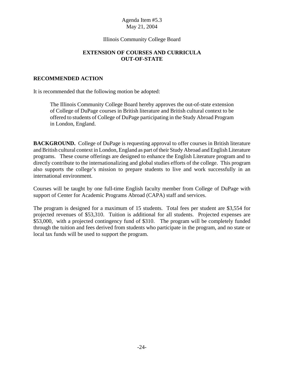## Illinois Community College Board

# **EXTENSION OF COURSES AND CURRICULA OUT-OF-STATE**

#### **RECOMMENDED ACTION**

It is recommended that the following motion be adopted:

The Illinois Community College Board hereby approves the out-of-state extension of College of DuPage courses in British literature and British cultural context to be offered to students of College of DuPage participating in the Study Abroad Program in London, England.

**BACKGROUND.** College of DuPage is requesting approval to offer courses in British literature and British cultural context in London, England as part of their Study Abroad and English Literature programs. These course offerings are designed to enhance the English Literature program and to directly contribute to the internationalizing and global studies efforts of the college. This program also supports the college's mission to prepare students to live and work successfully in an international environment.

Courses will be taught by one full-time English faculty member from College of DuPage with support of Center for Academic Programs Abroad (CAPA) staff and services.

The program is designed for a maximum of 15 students. Total fees per student are \$3,554 for projected revenues of \$53,310. Tuition is additional for all students. Projected expenses are \$53,000, with a projected contingency fund of \$310. The program will be completely funded through the tuition and fees derived from students who participate in the program, and no state or local tax funds will be used to support the program.